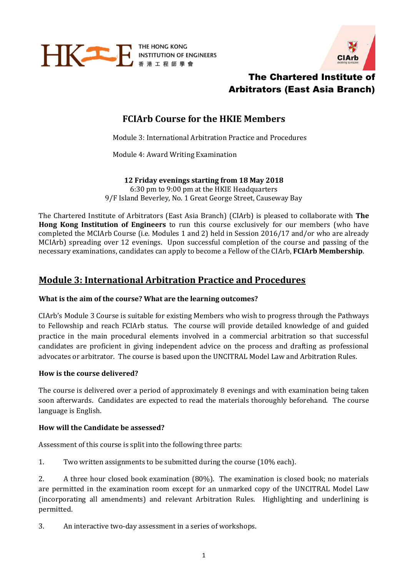

THE HONG KONG



# The Chartered Institute of Arbitrators (East Asia Branch)

# **FCIArb Course for the HKIE Members**

Module 3: International Arbitration Practice and Procedures

Module 4: Award Writing Examination

**12 Friday evenings starting from 18 May 2018** 6:30 pm to 9:00 pm at the HKIE Headquarters 9/F Island Beverley, No. 1 Great George Street, Causeway Bay

The Chartered Institute of Arbitrators (East Asia Branch) (CIArb) is pleased to collaborate with **The Hong Kong Institution of Engineers** to run this course exclusively for our members (who have completed the MCIArb Course (i.e. Modules 1 and 2) held in Session 2016/17 and/or who are already MCIArb) spreading over 12 evenings. Upon successful completion of the course and passing of the necessary examinations, candidates can apply to become a Fellow of the CIArb, **FCIArb Membership**.

# **Module 3: International Arbitration Practice and Procedures**

### **What is the aim of the course? What are the learning outcomes?**

CIArb's Module 3 Course is suitable for existing Members who wish to progress through the Pathways to Fellowship and reach FCIArb status. The course will provide detailed knowledge of and guided practice in the main procedural elements involved in a commercial arbitration so that successful candidates are proficient in giving independent advice on the process and drafting as professional advocates or arbitrator. The course is based upon the UNCITRAL Model Law and Arbitration Rules.

### **How is the course delivered?**

The course is delivered over a period of approximately 8 evenings and with examination being taken soon afterwards. Candidates are expected to read the materials thoroughly beforehand. The course language is English.

### **How will the Candidate be assessed?**

Assessment of this course is split into the following three parts:

1. Two written assignments to be submitted during the course (10% each).

2. A three hour closed book examination (80%). The examination is closed book; no materials are permitted in the examination room except for an unmarked copy of the UNCITRAL Model Law (incorporating all amendments) and relevant Arbitration Rules. Highlighting and underlining is permitted.

3. An interactive two-day assessment in a series of workshops.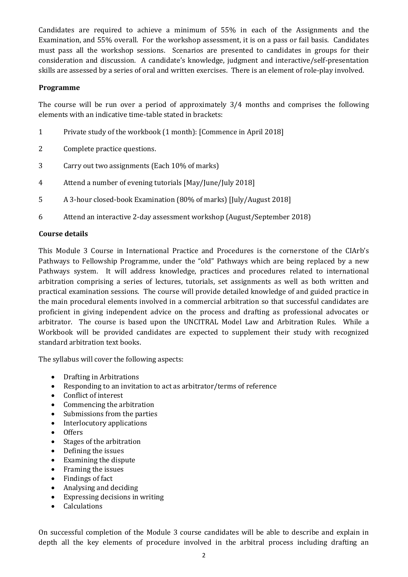Candidates are required to achieve a minimum of 55% in each of the Assignments and the Examination, and 55% overall. For the workshop assessment, it is on a pass or fail basis. Candidates must pass all the workshop sessions. Scenarios are presented to candidates in groups for their consideration and discussion. A candidate's knowledge, judgment and interactive/self-presentation skills are assessed by a series of oral and written exercises. There is an element of role-play involved.

#### **Programme**

The course will be run over a period of approximately 3/4 months and comprises the following elements with an indicative time-table stated in brackets:

- 1 Private study of the workbook (1 month): [Commence in April 2018]
- 2 Complete practice questions.
- 3 Carry out two assignments (Each 10% of marks)
- 4 Attend a number of evening tutorials [May/June/July 2018]
- 5 A 3-hour closed-book Examination (80% of marks) [July/August 2018]
- 6 Attend an interactive 2-day assessment workshop (August/September 2018)

#### **Course details**

This Module 3 Course in International Practice and Procedures is the cornerstone of the CIArb's Pathways to Fellowship Programme, under the "old" Pathways which are being replaced by a new Pathways system. It will address knowledge, practices and procedures related to international arbitration comprising a series of lectures, tutorials, set assignments as well as both written and practical examination sessions. The course will provide detailed knowledge of and guided practice in the main procedural elements involved in a commercial arbitration so that successful candidates are proficient in giving independent advice on the process and drafting as professional advocates or arbitrator. The course is based upon the UNCITRAL Model Law and Arbitration Rules. While a Workbook will be provided candidates are expected to supplement their study with recognized standard arbitration text books.

The syllabus will cover the following aspects:

- Drafting in Arbitrations
- Responding to an invitation to act as arbitrator/terms of reference
- Conflict of interest
- Commencing the arbitration
- Submissions from the parties
- Interlocutory applications
- Offers
- Stages of the arbitration
- Defining the issues
- Examining the dispute
- Framing the issues
- Findings of fact
- Analysing and deciding
- Expressing decisions in writing
- Calculations

On successful completion of the Module 3 course candidates will be able to describe and explain in depth all the key elements of procedure involved in the arbitral process including drafting an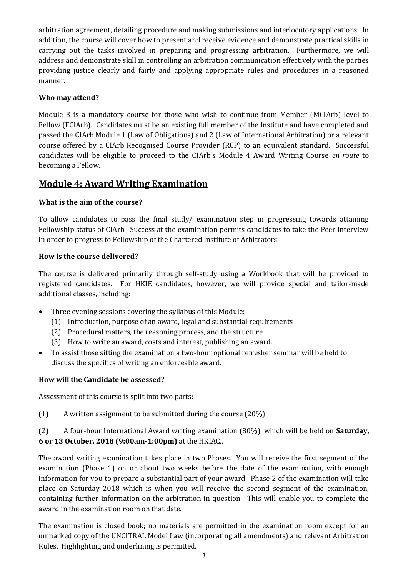arbitration agreement, detailing procedure and making submissions and interlocutory applications. In addition, the course will cover how to present and receive evidence and demonstrate practical skills in carrying out the tasks involved in preparing and progressing arbitration. Furthermore, we will address and demonstrate skill in controlling an arbitration communication effectively with the parties providing justice clearly and fairly and applying appropriate rules and procedures in a reasoned manner.

## **Who may attend?**

Module 3 is a mandatory course for those who wish to continue from Member (MCIArb) level to Fellow (FCIArb). Candidates must be an existing full member of the Institute and have completed and passed the CIArb Module 1 (Law of Obligations) and 2 (Law of International Arbitration) or a relevant course offered by a CIArb Recognised Course Provider (RCP) to an equivalent standard. Successful candidates will be eligible to proceed to the CIArb's Module 4 Award Writing Course *en route* to becoming a Fellow.

## **Module 4: Award Writing Examination**

## **What is the aim of the course?**

To allow candidates to pass the final study/ examination step in progressing towards attaining Fellowship status of CIArb. Success at the examination permits candidates to take the Peer Interview in order to progress to Fellowship of the Chartered Institute of Arbitrators.

## **How is the course delivered?**

The course is delivered primarily through self-study using a Workbook that will be provided to registered candidates. For HKIE candidates, however, we will provide special and tailor-made additional classes, including:

- Three evening sessions covering the syllabus of this Module:
	- (1) Introduction, purpose of an award, legal and substantial requirements
	- (2) Procedural matters, the reasoning process, and the structure
	- (3) How to write an award, costs and interest, publishing an award.
- To assist those sitting the examination a two-hour optional refresher seminar will be held to discuss the specifics of writing an enforceable award.

### **How will the Candidate be assessed?**

Assessment of this course is split into two parts:

(1) A written assignment to be submitted during the course (20%).

(2) A four-hour International Award writing examination (80%), which will be held on **Saturday, 6 or 13 October, 2018 (9:00am-1:00pm)** at the HKIAC..

The award writing examination takes place in two Phases. You will receive the first segment of the examination (Phase 1) on or about two weeks before the date of the examination, with enough information for you to prepare a substantial part of your award. Phase 2 of the examination will take place on Saturday 2018 which is when you will receive the second segment of the examination, containing further information on the arbitration in question. This will enable you to complete the award in the examination room on that date.

The examination is closed book; no materials are permitted in the examination room except for an unmarked copy of the UNCITRAL Model Law (incorporating all amendments) and relevant Arbitration Rules. Highlighting and underlining is permitted.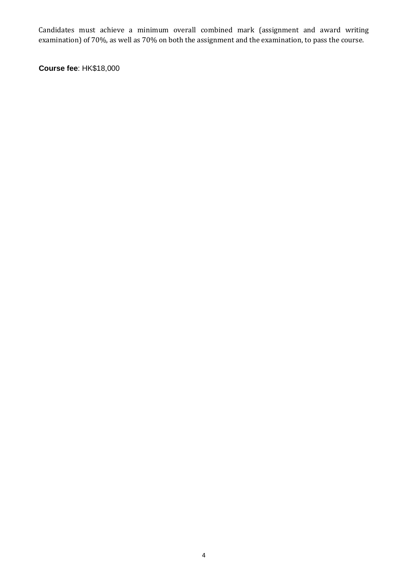Candidates must achieve a minimum overall combined mark (assignment and award writing examination) of 70%, as well as 70% on both the assignment and the examination, to pass the course.

**Course fee**: HK\$18,000